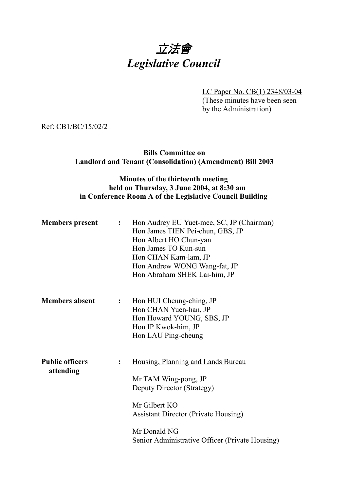## 立法會 *Legislative Council*

LC Paper No. CB(1) 2348/03-04 (These minutes have been seen by the Administration)

Ref: CB1/BC/15/02/2

## **Bills Committee on Landlord and Tenant (Consolidation) (Amendment) Bill 2003**

## **Minutes of the thirteenth meeting held on Thursday, 3 June 2004, at 8:30 am in Conference Room A of the Legislative Council Building**

| <b>Members</b> present              | $\mathbf{L}$   | Hon Audrey EU Yuet-mee, SC, JP (Chairman)<br>Hon James TIEN Pei-chun, GBS, JP<br>Hon Albert HO Chun-yan<br>Hon James TO Kun-sun<br>Hon CHAN Kam-lam, JP<br>Hon Andrew WONG Wang-fat, JP<br>Hon Abraham SHEK Lai-him, JP     |
|-------------------------------------|----------------|-----------------------------------------------------------------------------------------------------------------------------------------------------------------------------------------------------------------------------|
| <b>Members absent</b>               | $\ddot{\cdot}$ | Hon HUI Cheung-ching, JP<br>Hon CHAN Yuen-han, JP<br>Hon Howard YOUNG, SBS, JP<br>Hon IP Kwok-him, JP<br>Hon LAU Ping-cheung                                                                                                |
| <b>Public officers</b><br>attending | $\ddot{\cdot}$ | Housing, Planning and Lands Bureau<br>Mr TAM Wing-pong, JP<br>Deputy Director (Strategy)<br>Mr Gilbert KO<br><b>Assistant Director (Private Housing)</b><br>Mr Donald NG<br>Senior Administrative Officer (Private Housing) |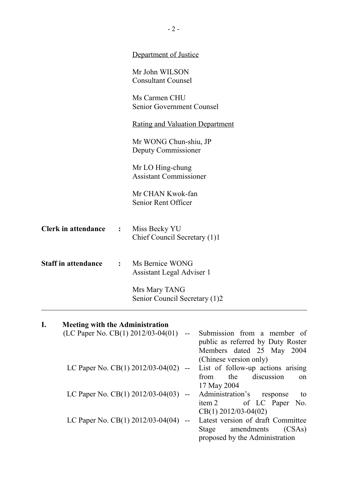|                                              |                | Department of Justice                               |
|----------------------------------------------|----------------|-----------------------------------------------------|
|                                              |                | Mr John WILSON<br><b>Consultant Counsel</b>         |
|                                              |                | Ms Carmen CHU<br><b>Senior Government Counsel</b>   |
|                                              |                | <b>Rating and Valuation Department</b>              |
|                                              |                | Mr WONG Chun-shiu, JP<br>Deputy Commissioner        |
|                                              |                | Mr LO Hing-chung<br><b>Assistant Commissioner</b>   |
|                                              |                | Mr CHAN Kwok-fan<br>Senior Rent Officer             |
| <b>Clerk in attendance</b>                   | $\ddot{\cdot}$ | Miss Becky YU<br>Chief Council Secretary (1)1       |
| <b>Staff in attendance</b>                   | $\ddot{\cdot}$ | Ms Bernice WONG<br><b>Assistant Legal Adviser 1</b> |
|                                              |                | Mrs Mary TANG<br>Senior Council Secretary (1)2      |
| I.<br><b>Meeting with the Administration</b> |                |                                                     |

| ı. | <b>Netting with the Administration</b>   |        |                                      |
|----|------------------------------------------|--------|--------------------------------------|
|    | (LC Paper No. CB(1) $2012/03-04(01)$     |        | Submission from a member of          |
|    |                                          |        | public as referred by Duty Roster    |
|    |                                          |        | Members dated 25 May 2004            |
|    |                                          |        | (Chinese version only)               |
|    | LC Paper No. CB(1) 2012/03-04(02)        | $  \,$ | List of follow-up actions arising    |
|    |                                          |        | discussion<br>the<br>from<br>$^{on}$ |
|    |                                          |        | 17 May 2004                          |
|    | LC Paper No. CB(1) $2012/03 - 04(03)$ -- |        | Administration's<br>to<br>response   |
|    |                                          |        | of LC Paper No.<br>item 2            |
|    |                                          |        | $CB(1)$ 2012/03-04(02)               |
|    | LC Paper No. CB(1) $2012/03 - 04(04)$ -- |        | Latest version of draft Committee    |
|    |                                          |        | amendments<br>(CSAs)<br>Stage        |
|    |                                          |        | proposed by the Administration       |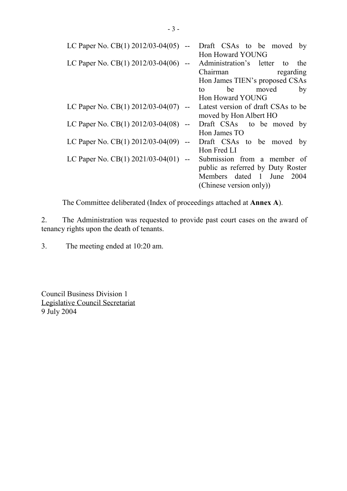| LC Paper No. CB(1) $2012/03 - 04(05)$  | Draft CSAs to be moved by          |
|----------------------------------------|------------------------------------|
|                                        | Hon Howard YOUNG                   |
| LC Paper No. CB(1) 2012/03-04(06) --   | Administration's letter to<br>the  |
|                                        | Chairman<br>regarding              |
|                                        | Hon James TIEN's proposed CSAs     |
|                                        | be<br>moved<br>by<br>to            |
|                                        | Hon Howard YOUNG                   |
| LC Paper No. CB(1) 2012/03-04(07) --   | Latest version of draft CSAs to be |
|                                        | moved by Hon Albert HO             |
| LC Paper No. CB(1) $2012/03-04(08)$ -- | Draft CSAs to be moved by          |
|                                        | Hon James TO                       |
| LC Paper No. CB(1) 2012/03-04(09) --   | Draft CSAs to be moved by          |
|                                        | Hon Fred LI                        |
| LC Paper No. CB(1) $2021/03-04(01)$ -- | Submission from a member of        |
|                                        | public as referred by Duty Roster  |
|                                        | Members dated 1 June 2004          |
|                                        | (Chinese version only))            |

The Committee deliberated (Index of proceedings attached at **Annex A**).

2. The Administration was requested to provide past court cases on the award of tenancy rights upon the death of tenants.

3. The meeting ended at 10:20 am.

Council Business Division 1 Legislative Council Secretariat 9 July 2004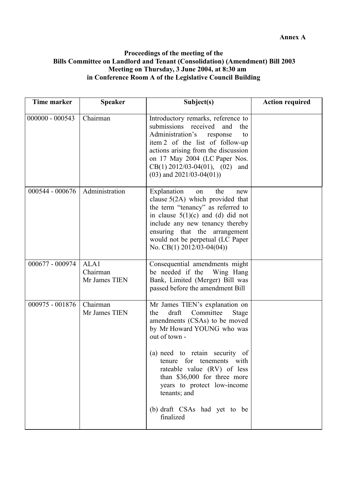## **Proceedings of the meeting of the Bills Committee on Landlord and Tenant (Consolidation) (Amendment) Bill 2003 Meeting on Thursday, 3 June 2004, at 8:30 am in Conference Room A of the Legislative Council Building**

| Time marker       | <b>Speaker</b>                    | Subject(s)                                                                                                                                                                                                                                                                                                                                                                            | <b>Action required</b> |
|-------------------|-----------------------------------|---------------------------------------------------------------------------------------------------------------------------------------------------------------------------------------------------------------------------------------------------------------------------------------------------------------------------------------------------------------------------------------|------------------------|
| $000000 - 000543$ | Chairman                          | Introductory remarks, reference to<br>submissions received<br>and<br>the<br>Administration's<br>response<br>to<br>item 2 of the list of follow-up<br>actions arising from the discussion<br>on 17 May 2004 (LC Paper Nos.<br>$CB(1)$ 2012/03-04(01), (02)<br>and<br>$(03)$ and $2021/03-04(01)$ )                                                                                     |                        |
| 000544 - 000676   | Administration                    | Explanation<br>the<br>on<br>new<br>clause $5(2A)$ which provided that<br>the term "tenancy" as referred to<br>in clause $5(1)(c)$ and (d) did not<br>include any new tenancy thereby<br>ensuring that the arrangement<br>would not be perpetual (LC Paper<br>No. CB(1) $2012/03-04(04)$                                                                                               |                        |
| 000677 - 000974   | ALA1<br>Chairman<br>Mr James TIEN | Consequential amendments might<br>be needed if the<br>Wing Hang<br>Bank, Limited (Merger) Bill was<br>passed before the amendment Bill                                                                                                                                                                                                                                                |                        |
| 000975 - 001876   | Chairman<br>Mr James TIEN         | Mr James TIEN's explanation on<br>draft<br>Committee<br>the<br><b>Stage</b><br>amendments (CSAs) to be moved<br>by Mr Howard YOUNG who was<br>out of town -<br>(a) need to retain security of<br>tenure for tenements with<br>rateable value (RV) of less<br>than \$36,000 for three more<br>years to protect low-income<br>tenants; and<br>(b) draft CSAs had yet to be<br>finalized |                        |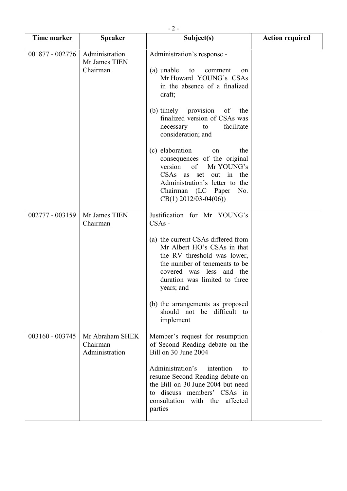| Time marker       | <b>Speaker</b>                                | Subject(s)                                                                                                                                                                                                   | <b>Action required</b> |
|-------------------|-----------------------------------------------|--------------------------------------------------------------------------------------------------------------------------------------------------------------------------------------------------------------|------------------------|
| 001877 - 002776   | Administration<br>Mr James TIEN<br>Chairman   | Administration's response -<br>(a) unable<br>to<br>comment<br><sub>on</sub><br>Mr Howard YOUNG's CSAs<br>in the absence of a finalized<br>draft;                                                             |                        |
|                   |                                               | (b) timely provision of the<br>finalized version of CSAs was<br>facilitate<br>to<br>necessary<br>consideration; and                                                                                          |                        |
|                   |                                               | (c) elaboration<br>the<br>on<br>consequences of the original<br>version of Mr YOUNG's<br>CSAs as set out in the<br>Administration's letter to the<br>Chairman (LC Paper No.<br>$CB(1)$ 2012/03-04(06))       |                        |
| 002777 - 003159   | Mr James TIEN<br>Chairman                     | Justification for Mr YOUNG's<br>$CSAs -$                                                                                                                                                                     |                        |
|                   |                                               | (a) the current CSAs differed from<br>Mr Albert HO's CSAs in that<br>the RV threshold was lower,<br>the number of tenements to be<br>covered was less and the<br>duration was limited to three<br>years; and |                        |
|                   |                                               | (b) the arrangements as proposed<br>should not be difficult to<br>implement                                                                                                                                  |                        |
| $003160 - 003745$ | Mr Abraham SHEK<br>Chairman<br>Administration | Member's request for resumption<br>of Second Reading debate on the<br>Bill on 30 June 2004                                                                                                                   |                        |
|                   |                                               | Administration's<br>intention<br>to<br>resume Second Reading debate on<br>the Bill on 30 June 2004 but need<br>to discuss members' CSAs in<br>consultation with the affected<br>parties                      |                        |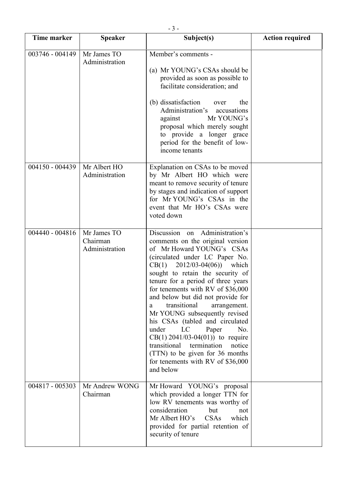| <b>Time marker</b> | <b>Speaker</b>                            | Subject(s)                                                                                                                                                                                                                                                                                                                                                                                                                                                                                                                                                                                                                                  | <b>Action required</b> |
|--------------------|-------------------------------------------|---------------------------------------------------------------------------------------------------------------------------------------------------------------------------------------------------------------------------------------------------------------------------------------------------------------------------------------------------------------------------------------------------------------------------------------------------------------------------------------------------------------------------------------------------------------------------------------------------------------------------------------------|------------------------|
| 003746 - 004149    | Mr James TO<br>Administration             | Member's comments -<br>(a) Mr YOUNG's CSAs should be<br>provided as soon as possible to<br>facilitate consideration; and<br>(b) dissatisfaction<br>the<br>over<br>Administration's<br>accusations<br>Mr YOUNG's<br>against<br>proposal which merely sought<br>to provide a longer grace<br>period for the benefit of low-<br>income tenants                                                                                                                                                                                                                                                                                                 |                        |
| 004150 - 004439    | Mr Albert HO<br>Administration            | Explanation on CSAs to be moved<br>by Mr Albert HO which were<br>meant to remove security of tenure<br>by stages and indication of support<br>for Mr YOUNG's CSAs in the<br>event that Mr HO's CSAs were<br>voted down                                                                                                                                                                                                                                                                                                                                                                                                                      |                        |
| 004440 - 004816    | Mr James TO<br>Chairman<br>Administration | Discussion<br>Administration's<br>on<br>comments on the original version<br>of Mr Howard YOUNG's CSAs<br>(circulated under LC Paper No.<br>$CB(1)$ 2012/03-04(06))<br>which<br>sought to retain the security of<br>tenure for a period of three years<br>for tenements with RV of \$36,000<br>and below but did not provide for<br>transitional<br>arrangement.<br>a<br>Mr YOUNG subsequently revised<br>his CSAs (tabled and circulated<br>under<br>LC<br>No.<br>Paper<br>$CB(1)$ 2041/03-04(01)) to require<br>transitional<br>termination<br>notice<br>(TTN) to be given for 36 months<br>for tenements with RV of \$36,000<br>and below |                        |
| 004817 - 005303    | Mr Andrew WONG<br>Chairman                | Mr Howard YOUNG's proposal<br>which provided a longer TTN for<br>low RV tenements was worthy of<br>consideration<br>but<br>not<br>CSAs<br>Mr Albert HO's<br>which<br>provided for partial retention of<br>security of tenure                                                                                                                                                                                                                                                                                                                                                                                                                |                        |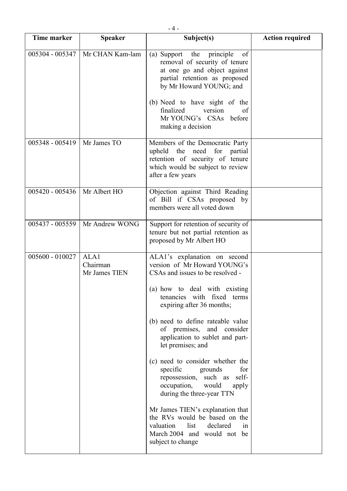| Time marker       | <b>Speaker</b>                    | Subject(s)                                                                                                                                                                                                                     | <b>Action required</b> |
|-------------------|-----------------------------------|--------------------------------------------------------------------------------------------------------------------------------------------------------------------------------------------------------------------------------|------------------------|
| 005304 - 005347   | Mr CHAN Kam-lam                   | (a) Support the<br>of<br>principle<br>removal of security of tenure<br>at one go and object against<br>partial retention as proposed<br>by Mr Howard YOUNG; and<br>(b) Need to have sight of the<br>finalized<br>version<br>of |                        |
|                   |                                   | Mr YOUNG's CSAs before<br>making a decision                                                                                                                                                                                    |                        |
| 005348 - 005419   | Mr James TO                       | Members of the Democratic Party<br>upheld the need for partial<br>retention of security of tenure<br>which would be subject to review<br>after a few years                                                                     |                        |
| $005420 - 005436$ | Mr Albert HO                      | Objection against Third Reading<br>of Bill if CSAs proposed by<br>members were all voted down                                                                                                                                  |                        |
| 005437 - 005559   | Mr Andrew WONG                    | Support for retention of security of<br>tenure but not partial retention as<br>proposed by Mr Albert HO                                                                                                                        |                        |
| 005600 - 010027   | ALA1<br>Chairman<br>Mr James TIEN | ALA1's explanation on second<br>version of Mr Howard YOUNG's<br>CSAs and issues to be resolved -<br>(a) how to deal with existing<br>tenancies with fixed terms<br>expiring after 36 months;                                   |                        |
|                   |                                   | (b) need to define rateable value<br>of premises, and consider<br>application to sublet and part-<br>let premises; and                                                                                                         |                        |
|                   |                                   | (c) need to consider whether the<br>specific<br>for<br>grounds<br>repossession, such as<br>self-<br>occupation,<br>would<br>apply<br>during the three-year TTN                                                                 |                        |
|                   |                                   | Mr James TIEN's explanation that<br>the RVs would be based on the<br>valuation<br>list<br>declared<br>in<br>March 2004 and would not be<br>subject to change                                                                   |                        |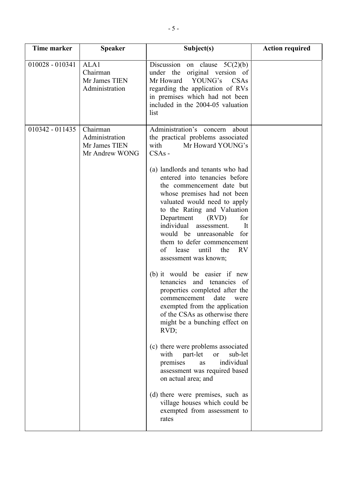| <b>Time marker</b> | <b>Speaker</b>                                                | Subject(s)                                                                                                                                                                                                                                                                                                                                                                                                                                                                                                                                                                                                                                                                                                                                                                                                                                                                                                                                                                                                                                      | <b>Action required</b> |
|--------------------|---------------------------------------------------------------|-------------------------------------------------------------------------------------------------------------------------------------------------------------------------------------------------------------------------------------------------------------------------------------------------------------------------------------------------------------------------------------------------------------------------------------------------------------------------------------------------------------------------------------------------------------------------------------------------------------------------------------------------------------------------------------------------------------------------------------------------------------------------------------------------------------------------------------------------------------------------------------------------------------------------------------------------------------------------------------------------------------------------------------------------|------------------------|
| 010028 - 010341    | ALA1<br>Chairman<br>Mr James TIEN<br>Administration           | Discussion on clause $5C(2)(b)$<br>under the original version of<br>Mr Howard YOUNG's<br><b>CSAs</b><br>regarding the application of RVs<br>in premises which had not been<br>included in the 2004-05 valuation<br>list                                                                                                                                                                                                                                                                                                                                                                                                                                                                                                                                                                                                                                                                                                                                                                                                                         |                        |
| $010342 - 011435$  | Chairman<br>Administration<br>Mr James TIEN<br>Mr Andrew WONG | Administration's concern about<br>the practical problems associated<br>with<br>Mr Howard YOUNG's<br>$CSAs -$<br>(a) landlords and tenants who had<br>entered into tenancies before<br>the commencement date but<br>whose premises had not been<br>valuated would need to apply<br>to the Rating and Valuation<br>Department<br>(RVD)<br>for<br>individual<br>assessment.<br>It<br>would be unreasonable<br>for<br>them to defer commencement<br><b>RV</b><br>of<br>lease<br>until<br>the<br>assessment was known;<br>(b) it would be easier if new<br>tenancies<br>and tenancies of<br>properties completed after the<br>commencement date<br>were<br>exempted from the application<br>of the CSAs as otherwise there<br>might be a bunching effect on<br>$RVD$ ;<br>(c) there were problems associated<br>part-let<br>sub-let<br>with<br><b>or</b><br>individual<br>premises<br>as<br>assessment was required based<br>on actual area; and<br>(d) there were premises, such as<br>village houses which could be<br>exempted from assessment to |                        |
|                    |                                                               | rates                                                                                                                                                                                                                                                                                                                                                                                                                                                                                                                                                                                                                                                                                                                                                                                                                                                                                                                                                                                                                                           |                        |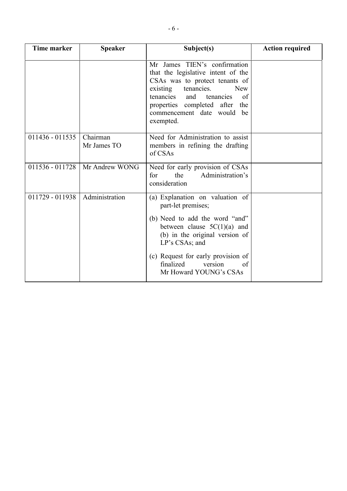| <b>Time marker</b> | <b>Speaker</b>          | Subject(s)                                                                                                                                                                                                                                                                 | <b>Action required</b> |
|--------------------|-------------------------|----------------------------------------------------------------------------------------------------------------------------------------------------------------------------------------------------------------------------------------------------------------------------|------------------------|
|                    |                         | Mr James TIEN's confirmation<br>that the legislative intent of the<br>CSAs was to protect tenants of<br>tenancies.<br>existing<br><b>New</b><br>tenancies<br>and<br>tenancies<br>of<br>properties completed after<br>the<br>commencement date would<br>be<br>exempted.     |                        |
| $011436 - 011535$  | Chairman<br>Mr James TO | Need for Administration to assist<br>members in refining the drafting<br>of CSAs                                                                                                                                                                                           |                        |
| 011536 - 011728    | Mr Andrew WONG          | Need for early provision of CSAs<br>Administration's<br>the<br>for<br>consideration                                                                                                                                                                                        |                        |
| 011729 - 011938    | Administration          | (a) Explanation on valuation of<br>part-let premises;<br>(b) Need to add the word "and"<br>between clause $5C(1)(a)$ and<br>(b) in the original version of<br>LP's CSAs; and<br>(c) Request for early provision of<br>finalized<br>version<br>of<br>Mr Howard YOUNG's CSAs |                        |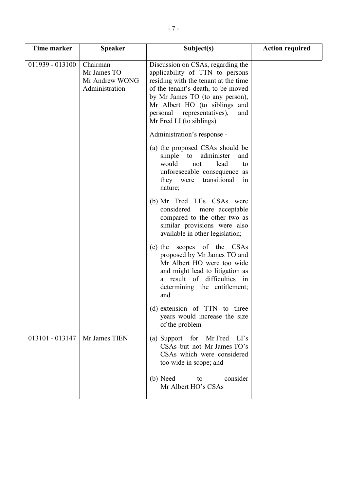| Time marker                     | <b>Speaker</b>                                              | Subject(s)                                                                                                                                                                                                                                                                              | <b>Action required</b> |
|---------------------------------|-------------------------------------------------------------|-----------------------------------------------------------------------------------------------------------------------------------------------------------------------------------------------------------------------------------------------------------------------------------------|------------------------|
| 011939 - 013100                 | Chairman<br>Mr James TO<br>Mr Andrew WONG<br>Administration | Discussion on CSAs, regarding the<br>applicability of TTN to persons<br>residing with the tenant at the time<br>of the tenant's death, to be moved<br>by Mr James TO (to any person),<br>Mr Albert HO (to siblings and<br>personal representatives),<br>and<br>Mr Fred LI (to siblings) |                        |
|                                 |                                                             | Administration's response -                                                                                                                                                                                                                                                             |                        |
|                                 |                                                             | (a) the proposed CSAs should be<br>simple to<br>administer<br>and<br>would<br>lead<br>not<br>to<br>unforeseeable consequence as<br>transitional<br>they were<br>1n<br>nature;                                                                                                           |                        |
|                                 |                                                             | (b) Mr Fred LI's CSAs were<br>considered<br>more acceptable<br>compared to the other two as<br>similar provisions were also<br>available in other legislation;                                                                                                                          |                        |
|                                 |                                                             | scopes of the CSAs<br>$(c)$ the<br>proposed by Mr James TO and<br>Mr Albert HO were too wide<br>and might lead to litigation as<br>result of difficulties in<br>a -<br>determining the entitlement;<br>and                                                                              |                        |
|                                 |                                                             | (d) extension of TTN to three<br>years would increase the size<br>of the problem                                                                                                                                                                                                        |                        |
| 013101 - 013147   Mr James TIEN |                                                             | (a) Support for Mr Fred LI's<br>CSAs but not Mr James TO's<br>CSAs which were considered<br>too wide in scope; and                                                                                                                                                                      |                        |
|                                 |                                                             | (b) Need<br>consider<br>to<br>Mr Albert HO's CSAs                                                                                                                                                                                                                                       |                        |